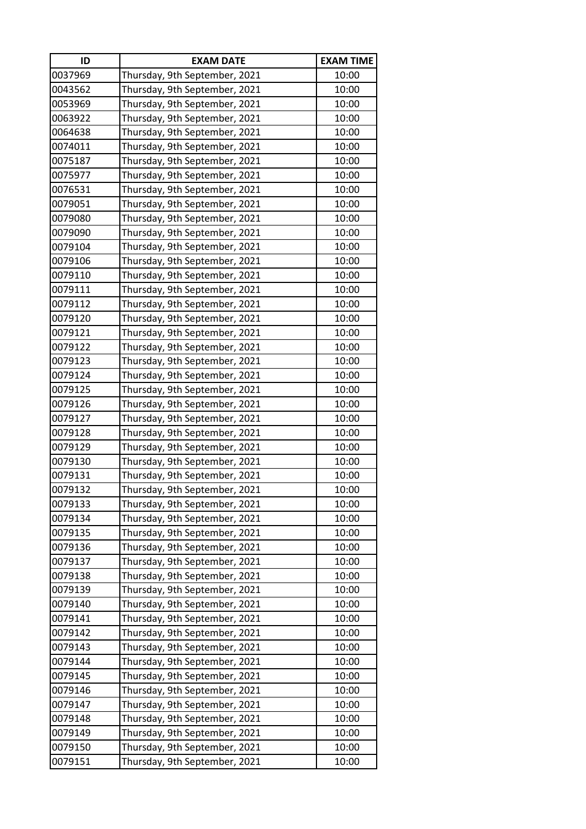| ID      | <b>EXAM DATE</b>              | <b>EXAM TIME</b> |
|---------|-------------------------------|------------------|
| 0037969 | Thursday, 9th September, 2021 | 10:00            |
| 0043562 | Thursday, 9th September, 2021 | 10:00            |
| 0053969 | Thursday, 9th September, 2021 | 10:00            |
| 0063922 | Thursday, 9th September, 2021 | 10:00            |
| 0064638 | Thursday, 9th September, 2021 | 10:00            |
| 0074011 | Thursday, 9th September, 2021 | 10:00            |
| 0075187 | Thursday, 9th September, 2021 | 10:00            |
| 0075977 | Thursday, 9th September, 2021 | 10:00            |
| 0076531 | Thursday, 9th September, 2021 | 10:00            |
| 0079051 | Thursday, 9th September, 2021 | 10:00            |
| 0079080 | Thursday, 9th September, 2021 | 10:00            |
| 0079090 | Thursday, 9th September, 2021 | 10:00            |
| 0079104 | Thursday, 9th September, 2021 | 10:00            |
| 0079106 | Thursday, 9th September, 2021 | 10:00            |
| 0079110 | Thursday, 9th September, 2021 | 10:00            |
| 0079111 | Thursday, 9th September, 2021 | 10:00            |
| 0079112 | Thursday, 9th September, 2021 | 10:00            |
| 0079120 | Thursday, 9th September, 2021 | 10:00            |
| 0079121 | Thursday, 9th September, 2021 | 10:00            |
| 0079122 | Thursday, 9th September, 2021 | 10:00            |
| 0079123 | Thursday, 9th September, 2021 | 10:00            |
| 0079124 | Thursday, 9th September, 2021 | 10:00            |
| 0079125 | Thursday, 9th September, 2021 | 10:00            |
| 0079126 | Thursday, 9th September, 2021 | 10:00            |
| 0079127 | Thursday, 9th September, 2021 | 10:00            |
| 0079128 | Thursday, 9th September, 2021 | 10:00            |
| 0079129 | Thursday, 9th September, 2021 | 10:00            |
| 0079130 | Thursday, 9th September, 2021 | 10:00            |
| 0079131 | Thursday, 9th September, 2021 | 10:00            |
| 0079132 | Thursday, 9th September, 2021 | 10:00            |
| 0079133 | Thursday, 9th September, 2021 | 10:00            |
| 0079134 | Thursday, 9th September, 2021 | 10:00            |
| 0079135 | Thursday, 9th September, 2021 | 10:00            |
| 0079136 | Thursday, 9th September, 2021 | 10:00            |
| 0079137 | Thursday, 9th September, 2021 | 10:00            |
| 0079138 | Thursday, 9th September, 2021 | 10:00            |
| 0079139 | Thursday, 9th September, 2021 | 10:00            |
| 0079140 | Thursday, 9th September, 2021 | 10:00            |
| 0079141 | Thursday, 9th September, 2021 | 10:00            |
| 0079142 | Thursday, 9th September, 2021 | 10:00            |
| 0079143 | Thursday, 9th September, 2021 | 10:00            |
| 0079144 | Thursday, 9th September, 2021 | 10:00            |
| 0079145 | Thursday, 9th September, 2021 | 10:00            |
| 0079146 | Thursday, 9th September, 2021 | 10:00            |
| 0079147 | Thursday, 9th September, 2021 | 10:00            |
| 0079148 | Thursday, 9th September, 2021 | 10:00            |
| 0079149 | Thursday, 9th September, 2021 | 10:00            |
| 0079150 | Thursday, 9th September, 2021 | 10:00            |
| 0079151 | Thursday, 9th September, 2021 | 10:00            |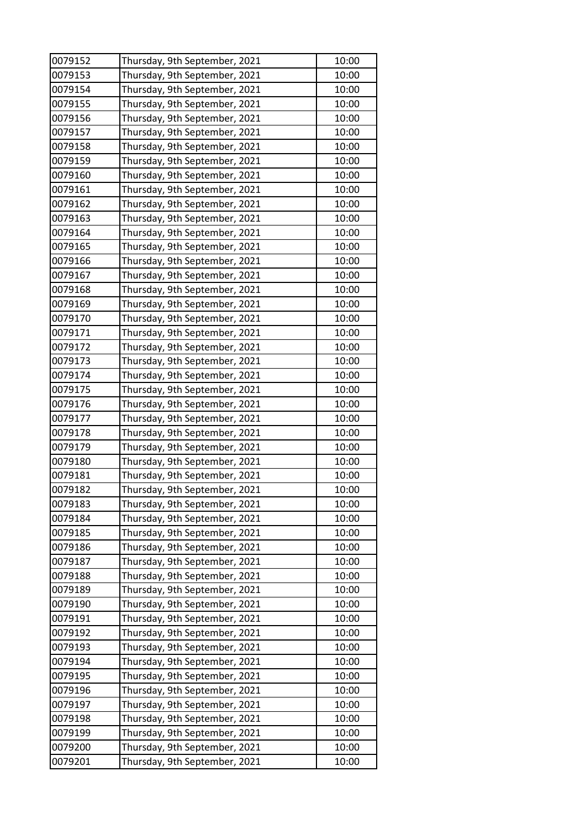| 0079152 | Thursday, 9th September, 2021 | 10:00 |
|---------|-------------------------------|-------|
| 0079153 | Thursday, 9th September, 2021 | 10:00 |
| 0079154 | Thursday, 9th September, 2021 | 10:00 |
| 0079155 | Thursday, 9th September, 2021 | 10:00 |
| 0079156 | Thursday, 9th September, 2021 | 10:00 |
| 0079157 | Thursday, 9th September, 2021 | 10:00 |
| 0079158 | Thursday, 9th September, 2021 | 10:00 |
| 0079159 | Thursday, 9th September, 2021 | 10:00 |
| 0079160 | Thursday, 9th September, 2021 | 10:00 |
| 0079161 | Thursday, 9th September, 2021 | 10:00 |
| 0079162 | Thursday, 9th September, 2021 | 10:00 |
| 0079163 | Thursday, 9th September, 2021 | 10:00 |
| 0079164 | Thursday, 9th September, 2021 | 10:00 |
| 0079165 | Thursday, 9th September, 2021 | 10:00 |
| 0079166 | Thursday, 9th September, 2021 | 10:00 |
| 0079167 | Thursday, 9th September, 2021 | 10:00 |
| 0079168 | Thursday, 9th September, 2021 | 10:00 |
| 0079169 | Thursday, 9th September, 2021 | 10:00 |
| 0079170 | Thursday, 9th September, 2021 | 10:00 |
| 0079171 | Thursday, 9th September, 2021 | 10:00 |
| 0079172 | Thursday, 9th September, 2021 | 10:00 |
| 0079173 | Thursday, 9th September, 2021 | 10:00 |
| 0079174 | Thursday, 9th September, 2021 | 10:00 |
| 0079175 | Thursday, 9th September, 2021 | 10:00 |
| 0079176 | Thursday, 9th September, 2021 | 10:00 |
| 0079177 | Thursday, 9th September, 2021 | 10:00 |
| 0079178 | Thursday, 9th September, 2021 | 10:00 |
| 0079179 | Thursday, 9th September, 2021 | 10:00 |
| 0079180 | Thursday, 9th September, 2021 | 10:00 |
| 0079181 | Thursday, 9th September, 2021 | 10:00 |
| 0079182 | Thursday, 9th September, 2021 | 10:00 |
| 0079183 | Thursday, 9th September, 2021 | 10:00 |
| 0079184 | Thursday, 9th September, 2021 | 10:00 |
| 0079185 | Thursday, 9th September, 2021 | 10:00 |
| 0079186 | Thursday, 9th September, 2021 | 10:00 |
| 0079187 | Thursday, 9th September, 2021 | 10:00 |
| 0079188 | Thursday, 9th September, 2021 | 10:00 |
| 0079189 | Thursday, 9th September, 2021 | 10:00 |
| 0079190 | Thursday, 9th September, 2021 | 10:00 |
| 0079191 | Thursday, 9th September, 2021 | 10:00 |
| 0079192 | Thursday, 9th September, 2021 | 10:00 |
| 0079193 | Thursday, 9th September, 2021 | 10:00 |
| 0079194 | Thursday, 9th September, 2021 | 10:00 |
| 0079195 | Thursday, 9th September, 2021 | 10:00 |
| 0079196 | Thursday, 9th September, 2021 | 10:00 |
| 0079197 | Thursday, 9th September, 2021 | 10:00 |
| 0079198 | Thursday, 9th September, 2021 | 10:00 |
| 0079199 | Thursday, 9th September, 2021 | 10:00 |
| 0079200 | Thursday, 9th September, 2021 | 10:00 |
| 0079201 | Thursday, 9th September, 2021 | 10:00 |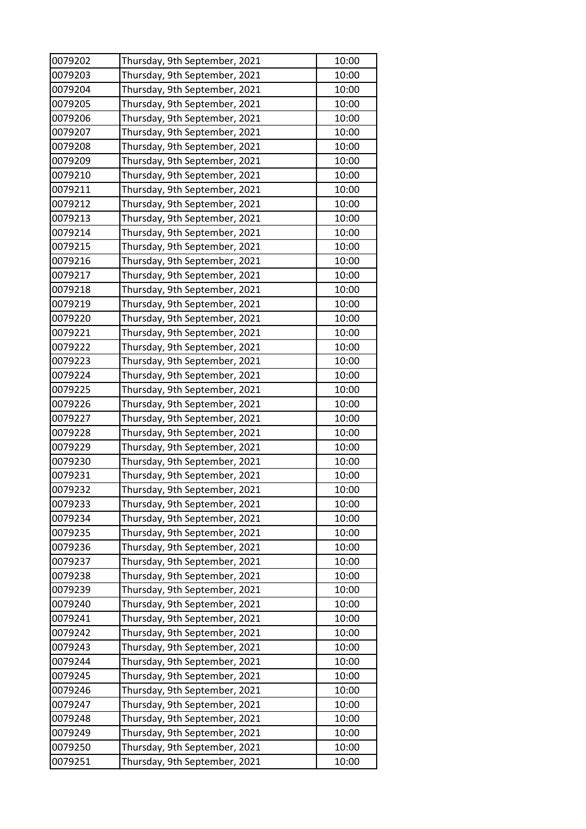| 0079202 | Thursday, 9th September, 2021 | 10:00 |
|---------|-------------------------------|-------|
| 0079203 | Thursday, 9th September, 2021 | 10:00 |
| 0079204 | Thursday, 9th September, 2021 | 10:00 |
| 0079205 | Thursday, 9th September, 2021 | 10:00 |
| 0079206 | Thursday, 9th September, 2021 | 10:00 |
| 0079207 | Thursday, 9th September, 2021 | 10:00 |
| 0079208 | Thursday, 9th September, 2021 | 10:00 |
| 0079209 | Thursday, 9th September, 2021 | 10:00 |
| 0079210 | Thursday, 9th September, 2021 | 10:00 |
| 0079211 | Thursday, 9th September, 2021 | 10:00 |
| 0079212 | Thursday, 9th September, 2021 | 10:00 |
| 0079213 | Thursday, 9th September, 2021 | 10:00 |
| 0079214 | Thursday, 9th September, 2021 | 10:00 |
| 0079215 | Thursday, 9th September, 2021 | 10:00 |
| 0079216 | Thursday, 9th September, 2021 | 10:00 |
| 0079217 | Thursday, 9th September, 2021 | 10:00 |
| 0079218 | Thursday, 9th September, 2021 | 10:00 |
| 0079219 | Thursday, 9th September, 2021 | 10:00 |
| 0079220 | Thursday, 9th September, 2021 | 10:00 |
| 0079221 | Thursday, 9th September, 2021 | 10:00 |
| 0079222 | Thursday, 9th September, 2021 | 10:00 |
| 0079223 | Thursday, 9th September, 2021 | 10:00 |
| 0079224 | Thursday, 9th September, 2021 | 10:00 |
| 0079225 | Thursday, 9th September, 2021 | 10:00 |
| 0079226 | Thursday, 9th September, 2021 | 10:00 |
| 0079227 | Thursday, 9th September, 2021 | 10:00 |
| 0079228 | Thursday, 9th September, 2021 | 10:00 |
| 0079229 | Thursday, 9th September, 2021 | 10:00 |
| 0079230 | Thursday, 9th September, 2021 | 10:00 |
| 0079231 | Thursday, 9th September, 2021 | 10:00 |
| 0079232 | Thursday, 9th September, 2021 | 10:00 |
| 0079233 | Thursday, 9th September, 2021 | 10:00 |
| 0079234 | Thursday, 9th September, 2021 | 10:00 |
| 0079235 | Thursday, 9th September, 2021 | 10:00 |
| 0079236 | Thursday, 9th September, 2021 | 10:00 |
| 0079237 | Thursday, 9th September, 2021 | 10:00 |
| 0079238 | Thursday, 9th September, 2021 | 10:00 |
| 0079239 | Thursday, 9th September, 2021 | 10:00 |
| 0079240 | Thursday, 9th September, 2021 | 10:00 |
| 0079241 | Thursday, 9th September, 2021 | 10:00 |
| 0079242 | Thursday, 9th September, 2021 | 10:00 |
| 0079243 | Thursday, 9th September, 2021 | 10:00 |
| 0079244 | Thursday, 9th September, 2021 | 10:00 |
| 0079245 | Thursday, 9th September, 2021 | 10:00 |
| 0079246 | Thursday, 9th September, 2021 | 10:00 |
| 0079247 | Thursday, 9th September, 2021 | 10:00 |
| 0079248 | Thursday, 9th September, 2021 | 10:00 |
| 0079249 | Thursday, 9th September, 2021 | 10:00 |
| 0079250 | Thursday, 9th September, 2021 | 10:00 |
| 0079251 | Thursday, 9th September, 2021 | 10:00 |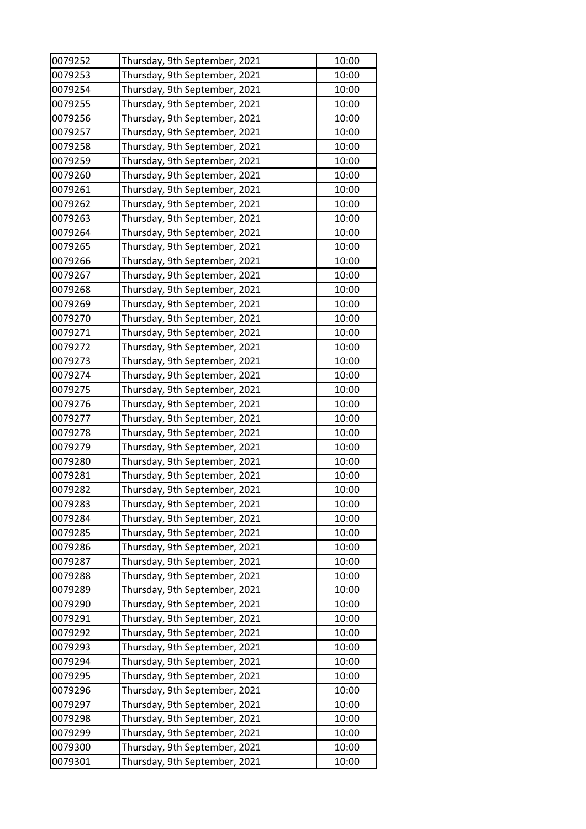| 0079252 | Thursday, 9th September, 2021 | 10:00 |
|---------|-------------------------------|-------|
| 0079253 | Thursday, 9th September, 2021 | 10:00 |
| 0079254 | Thursday, 9th September, 2021 | 10:00 |
| 0079255 | Thursday, 9th September, 2021 | 10:00 |
| 0079256 | Thursday, 9th September, 2021 | 10:00 |
| 0079257 | Thursday, 9th September, 2021 | 10:00 |
| 0079258 | Thursday, 9th September, 2021 | 10:00 |
| 0079259 | Thursday, 9th September, 2021 | 10:00 |
| 0079260 | Thursday, 9th September, 2021 | 10:00 |
| 0079261 | Thursday, 9th September, 2021 | 10:00 |
| 0079262 | Thursday, 9th September, 2021 | 10:00 |
| 0079263 | Thursday, 9th September, 2021 | 10:00 |
| 0079264 | Thursday, 9th September, 2021 | 10:00 |
| 0079265 | Thursday, 9th September, 2021 | 10:00 |
| 0079266 | Thursday, 9th September, 2021 | 10:00 |
| 0079267 | Thursday, 9th September, 2021 | 10:00 |
| 0079268 | Thursday, 9th September, 2021 | 10:00 |
| 0079269 | Thursday, 9th September, 2021 | 10:00 |
| 0079270 | Thursday, 9th September, 2021 | 10:00 |
| 0079271 | Thursday, 9th September, 2021 | 10:00 |
| 0079272 | Thursday, 9th September, 2021 | 10:00 |
| 0079273 | Thursday, 9th September, 2021 | 10:00 |
| 0079274 | Thursday, 9th September, 2021 | 10:00 |
| 0079275 | Thursday, 9th September, 2021 | 10:00 |
| 0079276 | Thursday, 9th September, 2021 | 10:00 |
| 0079277 | Thursday, 9th September, 2021 | 10:00 |
| 0079278 | Thursday, 9th September, 2021 | 10:00 |
| 0079279 | Thursday, 9th September, 2021 | 10:00 |
| 0079280 | Thursday, 9th September, 2021 | 10:00 |
| 0079281 | Thursday, 9th September, 2021 | 10:00 |
| 0079282 | Thursday, 9th September, 2021 | 10:00 |
| 0079283 | Thursday, 9th September, 2021 | 10:00 |
| 0079284 | Thursday, 9th September, 2021 | 10:00 |
| 0079285 | Thursday, 9th September, 2021 | 10:00 |
| 0079286 | Thursday, 9th September, 2021 | 10:00 |
| 0079287 | Thursday, 9th September, 2021 | 10:00 |
| 0079288 | Thursday, 9th September, 2021 | 10:00 |
| 0079289 | Thursday, 9th September, 2021 | 10:00 |
| 0079290 | Thursday, 9th September, 2021 | 10:00 |
| 0079291 | Thursday, 9th September, 2021 | 10:00 |
| 0079292 | Thursday, 9th September, 2021 | 10:00 |
| 0079293 | Thursday, 9th September, 2021 | 10:00 |
| 0079294 | Thursday, 9th September, 2021 | 10:00 |
| 0079295 | Thursday, 9th September, 2021 | 10:00 |
| 0079296 | Thursday, 9th September, 2021 | 10:00 |
| 0079297 | Thursday, 9th September, 2021 | 10:00 |
| 0079298 | Thursday, 9th September, 2021 | 10:00 |
| 0079299 | Thursday, 9th September, 2021 | 10:00 |
| 0079300 | Thursday, 9th September, 2021 | 10:00 |
| 0079301 | Thursday, 9th September, 2021 | 10:00 |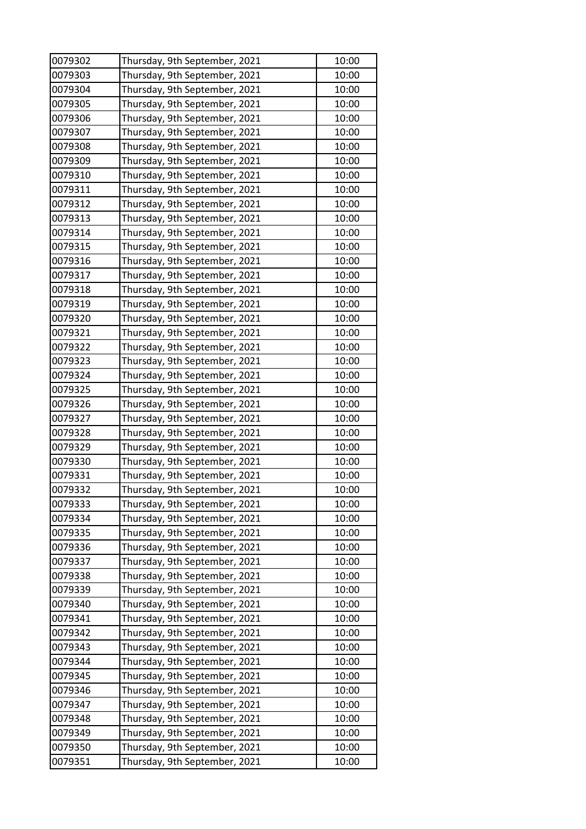| 0079302 | Thursday, 9th September, 2021 | 10:00 |
|---------|-------------------------------|-------|
| 0079303 | Thursday, 9th September, 2021 | 10:00 |
| 0079304 | Thursday, 9th September, 2021 | 10:00 |
| 0079305 | Thursday, 9th September, 2021 | 10:00 |
| 0079306 | Thursday, 9th September, 2021 | 10:00 |
| 0079307 | Thursday, 9th September, 2021 | 10:00 |
| 0079308 | Thursday, 9th September, 2021 | 10:00 |
| 0079309 | Thursday, 9th September, 2021 | 10:00 |
| 0079310 | Thursday, 9th September, 2021 | 10:00 |
| 0079311 | Thursday, 9th September, 2021 | 10:00 |
| 0079312 | Thursday, 9th September, 2021 | 10:00 |
| 0079313 | Thursday, 9th September, 2021 | 10:00 |
| 0079314 | Thursday, 9th September, 2021 | 10:00 |
| 0079315 | Thursday, 9th September, 2021 | 10:00 |
| 0079316 | Thursday, 9th September, 2021 | 10:00 |
| 0079317 | Thursday, 9th September, 2021 | 10:00 |
| 0079318 | Thursday, 9th September, 2021 | 10:00 |
| 0079319 | Thursday, 9th September, 2021 | 10:00 |
| 0079320 | Thursday, 9th September, 2021 | 10:00 |
| 0079321 | Thursday, 9th September, 2021 | 10:00 |
| 0079322 | Thursday, 9th September, 2021 | 10:00 |
| 0079323 | Thursday, 9th September, 2021 | 10:00 |
| 0079324 | Thursday, 9th September, 2021 | 10:00 |
| 0079325 | Thursday, 9th September, 2021 | 10:00 |
| 0079326 | Thursday, 9th September, 2021 | 10:00 |
| 0079327 | Thursday, 9th September, 2021 | 10:00 |
| 0079328 | Thursday, 9th September, 2021 | 10:00 |
| 0079329 | Thursday, 9th September, 2021 | 10:00 |
| 0079330 | Thursday, 9th September, 2021 | 10:00 |
| 0079331 | Thursday, 9th September, 2021 | 10:00 |
| 0079332 | Thursday, 9th September, 2021 | 10:00 |
| 0079333 | Thursday, 9th September, 2021 | 10:00 |
| 0079334 | Thursday, 9th September, 2021 | 10:00 |
| 0079335 | Thursday, 9th September, 2021 | 10:00 |
| 0079336 | Thursday, 9th September, 2021 | 10:00 |
| 0079337 | Thursday, 9th September, 2021 | 10:00 |
| 0079338 | Thursday, 9th September, 2021 | 10:00 |
| 0079339 | Thursday, 9th September, 2021 | 10:00 |
| 0079340 | Thursday, 9th September, 2021 | 10:00 |
| 0079341 | Thursday, 9th September, 2021 | 10:00 |
| 0079342 | Thursday, 9th September, 2021 | 10:00 |
| 0079343 | Thursday, 9th September, 2021 | 10:00 |
| 0079344 | Thursday, 9th September, 2021 | 10:00 |
| 0079345 | Thursday, 9th September, 2021 | 10:00 |
| 0079346 | Thursday, 9th September, 2021 | 10:00 |
| 0079347 | Thursday, 9th September, 2021 | 10:00 |
| 0079348 | Thursday, 9th September, 2021 | 10:00 |
| 0079349 | Thursday, 9th September, 2021 | 10:00 |
| 0079350 | Thursday, 9th September, 2021 | 10:00 |
| 0079351 | Thursday, 9th September, 2021 | 10:00 |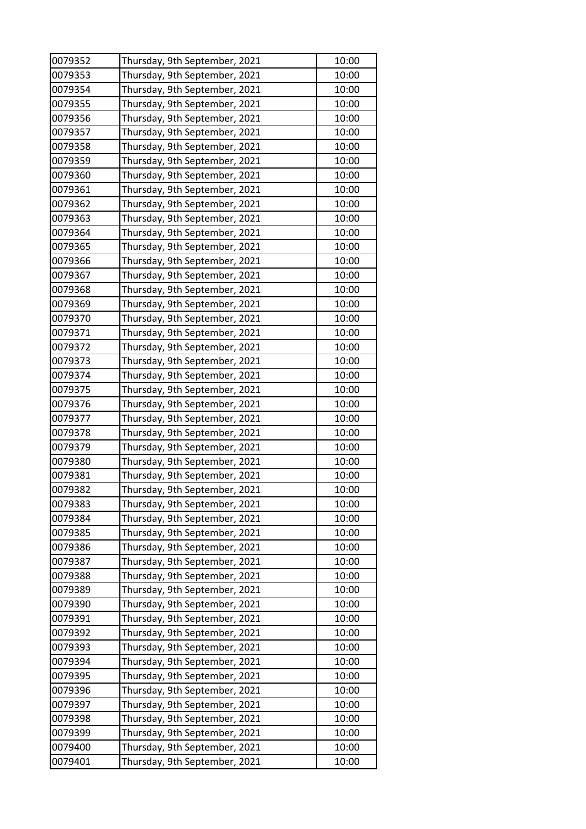| 0079352 | Thursday, 9th September, 2021 | 10:00 |
|---------|-------------------------------|-------|
| 0079353 | Thursday, 9th September, 2021 | 10:00 |
| 0079354 | Thursday, 9th September, 2021 | 10:00 |
| 0079355 | Thursday, 9th September, 2021 | 10:00 |
| 0079356 | Thursday, 9th September, 2021 | 10:00 |
| 0079357 | Thursday, 9th September, 2021 | 10:00 |
| 0079358 | Thursday, 9th September, 2021 | 10:00 |
| 0079359 | Thursday, 9th September, 2021 | 10:00 |
| 0079360 | Thursday, 9th September, 2021 | 10:00 |
| 0079361 | Thursday, 9th September, 2021 | 10:00 |
| 0079362 | Thursday, 9th September, 2021 | 10:00 |
| 0079363 | Thursday, 9th September, 2021 | 10:00 |
| 0079364 | Thursday, 9th September, 2021 | 10:00 |
| 0079365 | Thursday, 9th September, 2021 | 10:00 |
| 0079366 | Thursday, 9th September, 2021 | 10:00 |
| 0079367 | Thursday, 9th September, 2021 | 10:00 |
| 0079368 | Thursday, 9th September, 2021 | 10:00 |
| 0079369 | Thursday, 9th September, 2021 | 10:00 |
| 0079370 | Thursday, 9th September, 2021 | 10:00 |
| 0079371 | Thursday, 9th September, 2021 | 10:00 |
| 0079372 | Thursday, 9th September, 2021 | 10:00 |
| 0079373 | Thursday, 9th September, 2021 | 10:00 |
| 0079374 | Thursday, 9th September, 2021 | 10:00 |
| 0079375 | Thursday, 9th September, 2021 | 10:00 |
| 0079376 | Thursday, 9th September, 2021 | 10:00 |
| 0079377 | Thursday, 9th September, 2021 | 10:00 |
| 0079378 | Thursday, 9th September, 2021 | 10:00 |
| 0079379 | Thursday, 9th September, 2021 | 10:00 |
| 0079380 | Thursday, 9th September, 2021 | 10:00 |
| 0079381 | Thursday, 9th September, 2021 | 10:00 |
| 0079382 | Thursday, 9th September, 2021 | 10:00 |
| 0079383 | Thursday, 9th September, 2021 | 10:00 |
| 0079384 | Thursday, 9th September, 2021 | 10:00 |
| 0079385 | Thursday, 9th September, 2021 | 10:00 |
| 0079386 | Thursday, 9th September, 2021 | 10:00 |
| 0079387 | Thursday, 9th September, 2021 | 10:00 |
| 0079388 | Thursday, 9th September, 2021 | 10:00 |
| 0079389 | Thursday, 9th September, 2021 | 10:00 |
| 0079390 | Thursday, 9th September, 2021 | 10:00 |
| 0079391 | Thursday, 9th September, 2021 | 10:00 |
| 0079392 | Thursday, 9th September, 2021 | 10:00 |
| 0079393 | Thursday, 9th September, 2021 | 10:00 |
| 0079394 | Thursday, 9th September, 2021 | 10:00 |
| 0079395 | Thursday, 9th September, 2021 | 10:00 |
| 0079396 | Thursday, 9th September, 2021 | 10:00 |
| 0079397 | Thursday, 9th September, 2021 | 10:00 |
| 0079398 | Thursday, 9th September, 2021 | 10:00 |
| 0079399 | Thursday, 9th September, 2021 | 10:00 |
| 0079400 | Thursday, 9th September, 2021 | 10:00 |
| 0079401 | Thursday, 9th September, 2021 | 10:00 |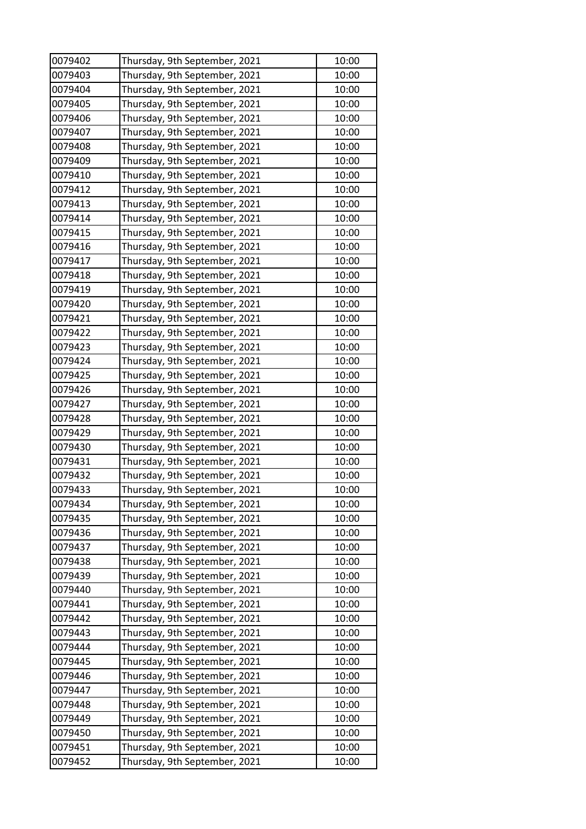| 0079402 | Thursday, 9th September, 2021 | 10:00          |
|---------|-------------------------------|----------------|
| 0079403 | Thursday, 9th September, 2021 | 10:00          |
| 0079404 | Thursday, 9th September, 2021 | 10:00          |
| 0079405 | Thursday, 9th September, 2021 | 10:00          |
| 0079406 | Thursday, 9th September, 2021 | 10:00          |
| 0079407 | Thursday, 9th September, 2021 | 10:00          |
| 0079408 | Thursday, 9th September, 2021 | 10:00          |
| 0079409 | Thursday, 9th September, 2021 | 10:00          |
| 0079410 | Thursday, 9th September, 2021 | 10:00          |
| 0079412 | Thursday, 9th September, 2021 | 10:00          |
| 0079413 | Thursday, 9th September, 2021 | 10:00          |
| 0079414 | Thursday, 9th September, 2021 | 10:00          |
| 0079415 | Thursday, 9th September, 2021 | 10:00          |
| 0079416 | Thursday, 9th September, 2021 | 10:00          |
| 0079417 | Thursday, 9th September, 2021 | 10:00          |
| 0079418 | Thursday, 9th September, 2021 | 10:00          |
| 0079419 | Thursday, 9th September, 2021 | 10:00          |
| 0079420 | Thursday, 9th September, 2021 | 10:00          |
| 0079421 | Thursday, 9th September, 2021 | 10:00          |
| 0079422 | Thursday, 9th September, 2021 | 10:00          |
| 0079423 | Thursday, 9th September, 2021 | 10:00          |
| 0079424 | Thursday, 9th September, 2021 | 10:00          |
| 0079425 | Thursday, 9th September, 2021 | 10:00          |
| 0079426 | Thursday, 9th September, 2021 | 10:00          |
| 0079427 | Thursday, 9th September, 2021 | 10:00          |
| 0079428 | Thursday, 9th September, 2021 | 10:00          |
| 0079429 | Thursday, 9th September, 2021 | 10:00          |
| 0079430 | Thursday, 9th September, 2021 | 10:00          |
| 0079431 | Thursday, 9th September, 2021 | 10:00          |
| 0079432 | Thursday, 9th September, 2021 | 10:00          |
| 0079433 | Thursday, 9th September, 2021 | 10:00          |
| 0079434 | Thursday, 9th September, 2021 | 10:00          |
| 0079435 | Thursday, 9th September, 2021 | 10:00          |
| 0079436 | Thursday, 9th September, 2021 | 10:00          |
| 0079437 | Thursday, 9th September, 2021 | 10:00          |
| 0079438 | Thursday, 9th September, 2021 | 10:00          |
| 0079439 | Thursday, 9th September, 2021 | 10:00          |
| 0079440 | Thursday, 9th September, 2021 | 10:00          |
| 0079441 | Thursday, 9th September, 2021 | 10:00          |
| 0079442 | Thursday, 9th September, 2021 | 10:00          |
| 0079443 | Thursday, 9th September, 2021 | 10:00          |
| 0079444 | Thursday, 9th September, 2021 | 10:00          |
| 0079445 | Thursday, 9th September, 2021 | 10:00          |
| 0079446 | Thursday, 9th September, 2021 | 10:00          |
| 0079447 | Thursday, 9th September, 2021 | 10:00          |
| 0079448 | Thursday, 9th September, 2021 | 10:00          |
| 0079449 | Thursday, 9th September, 2021 | 10:00          |
| 0079450 |                               |                |
| 0079451 | Thursday, 9th September, 2021 | 10:00<br>10:00 |
|         | Thursday, 9th September, 2021 |                |
| 0079452 | Thursday, 9th September, 2021 | 10:00          |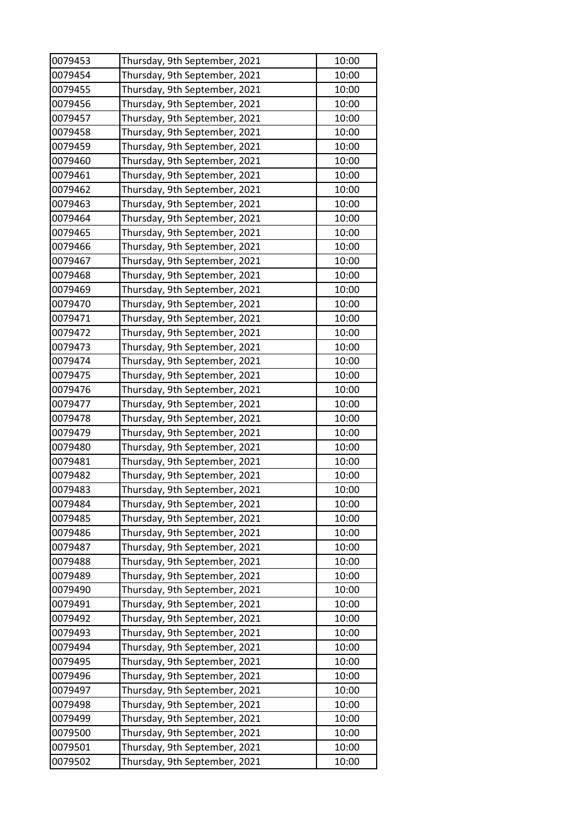| 0079453 | Thursday, 9th September, 2021 | 10:00          |
|---------|-------------------------------|----------------|
| 0079454 | Thursday, 9th September, 2021 | 10:00          |
| 0079455 | Thursday, 9th September, 2021 | 10:00          |
| 0079456 | Thursday, 9th September, 2021 | 10:00          |
| 0079457 | Thursday, 9th September, 2021 | 10:00          |
| 0079458 | Thursday, 9th September, 2021 | 10:00          |
| 0079459 | Thursday, 9th September, 2021 | 10:00          |
| 0079460 | Thursday, 9th September, 2021 | 10:00          |
| 0079461 | Thursday, 9th September, 2021 | 10:00          |
| 0079462 | Thursday, 9th September, 2021 | 10:00          |
| 0079463 | Thursday, 9th September, 2021 | 10:00          |
| 0079464 | Thursday, 9th September, 2021 | 10:00          |
| 0079465 | Thursday, 9th September, 2021 | 10:00          |
| 0079466 | Thursday, 9th September, 2021 | 10:00          |
| 0079467 | Thursday, 9th September, 2021 | 10:00          |
| 0079468 | Thursday, 9th September, 2021 | 10:00          |
| 0079469 | Thursday, 9th September, 2021 | 10:00          |
| 0079470 | Thursday, 9th September, 2021 | 10:00          |
| 0079471 | Thursday, 9th September, 2021 | 10:00          |
| 0079472 | Thursday, 9th September, 2021 | 10:00          |
| 0079473 | Thursday, 9th September, 2021 | 10:00          |
| 0079474 | Thursday, 9th September, 2021 | 10:00          |
| 0079475 | Thursday, 9th September, 2021 | 10:00          |
| 0079476 | Thursday, 9th September, 2021 | 10:00          |
| 0079477 | Thursday, 9th September, 2021 | 10:00          |
| 0079478 | Thursday, 9th September, 2021 | 10:00          |
| 0079479 | Thursday, 9th September, 2021 | 10:00          |
| 0079480 | Thursday, 9th September, 2021 | 10:00          |
| 0079481 | Thursday, 9th September, 2021 | 10:00          |
| 0079482 | Thursday, 9th September, 2021 | 10:00          |
| 0079483 | Thursday, 9th September, 2021 | 10:00          |
| 0079484 | Thursday, 9th September, 2021 | 10:00          |
| 0079485 | Thursday, 9th September, 2021 | 10:00          |
| 0079486 | Thursday, 9th September, 2021 | 10:00          |
| 0079487 | Thursday, 9th September, 2021 | 10:00          |
| 0079488 | Thursday, 9th September, 2021 | 10:00          |
| 0079489 | Thursday, 9th September, 2021 | 10:00          |
| 0079490 | Thursday, 9th September, 2021 | 10:00          |
| 0079491 | Thursday, 9th September, 2021 | 10:00          |
| 0079492 | Thursday, 9th September, 2021 | 10:00          |
| 0079493 | Thursday, 9th September, 2021 | 10:00          |
| 0079494 | Thursday, 9th September, 2021 | 10:00          |
| 0079495 | Thursday, 9th September, 2021 | 10:00          |
| 0079496 | Thursday, 9th September, 2021 | 10:00          |
| 0079497 | Thursday, 9th September, 2021 | 10:00          |
| 0079498 | Thursday, 9th September, 2021 | 10:00          |
| 0079499 | Thursday, 9th September, 2021 | 10:00          |
| 0079500 |                               |                |
| 0079501 | Thursday, 9th September, 2021 | 10:00<br>10:00 |
|         | Thursday, 9th September, 2021 |                |
| 0079502 | Thursday, 9th September, 2021 | 10:00          |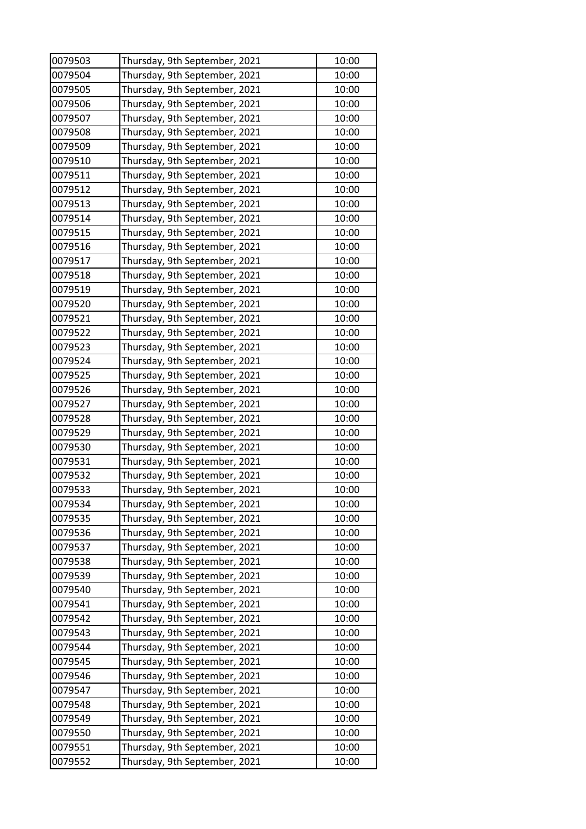| 0079503 | Thursday, 9th September, 2021 | 10:00 |
|---------|-------------------------------|-------|
| 0079504 | Thursday, 9th September, 2021 | 10:00 |
| 0079505 | Thursday, 9th September, 2021 | 10:00 |
| 0079506 | Thursday, 9th September, 2021 | 10:00 |
| 0079507 | Thursday, 9th September, 2021 | 10:00 |
| 0079508 | Thursday, 9th September, 2021 | 10:00 |
| 0079509 | Thursday, 9th September, 2021 | 10:00 |
| 0079510 | Thursday, 9th September, 2021 | 10:00 |
| 0079511 | Thursday, 9th September, 2021 | 10:00 |
| 0079512 | Thursday, 9th September, 2021 | 10:00 |
| 0079513 | Thursday, 9th September, 2021 | 10:00 |
| 0079514 | Thursday, 9th September, 2021 | 10:00 |
| 0079515 | Thursday, 9th September, 2021 | 10:00 |
| 0079516 | Thursday, 9th September, 2021 | 10:00 |
| 0079517 | Thursday, 9th September, 2021 | 10:00 |
| 0079518 | Thursday, 9th September, 2021 | 10:00 |
| 0079519 | Thursday, 9th September, 2021 | 10:00 |
| 0079520 | Thursday, 9th September, 2021 | 10:00 |
| 0079521 | Thursday, 9th September, 2021 | 10:00 |
| 0079522 | Thursday, 9th September, 2021 | 10:00 |
| 0079523 | Thursday, 9th September, 2021 | 10:00 |
| 0079524 | Thursday, 9th September, 2021 | 10:00 |
| 0079525 | Thursday, 9th September, 2021 | 10:00 |
| 0079526 | Thursday, 9th September, 2021 | 10:00 |
| 0079527 | Thursday, 9th September, 2021 | 10:00 |
| 0079528 | Thursday, 9th September, 2021 | 10:00 |
| 0079529 | Thursday, 9th September, 2021 | 10:00 |
| 0079530 | Thursday, 9th September, 2021 | 10:00 |
| 0079531 | Thursday, 9th September, 2021 | 10:00 |
| 0079532 | Thursday, 9th September, 2021 | 10:00 |
| 0079533 | Thursday, 9th September, 2021 | 10:00 |
| 0079534 | Thursday, 9th September, 2021 | 10:00 |
| 0079535 | Thursday, 9th September, 2021 | 10:00 |
| 0079536 | Thursday, 9th September, 2021 | 10:00 |
| 0079537 | Thursday, 9th September, 2021 | 10:00 |
| 0079538 | Thursday, 9th September, 2021 | 10:00 |
| 0079539 | Thursday, 9th September, 2021 | 10:00 |
| 0079540 | Thursday, 9th September, 2021 | 10:00 |
| 0079541 | Thursday, 9th September, 2021 | 10:00 |
| 0079542 | Thursday, 9th September, 2021 | 10:00 |
| 0079543 | Thursday, 9th September, 2021 | 10:00 |
| 0079544 | Thursday, 9th September, 2021 | 10:00 |
| 0079545 | Thursday, 9th September, 2021 | 10:00 |
| 0079546 | Thursday, 9th September, 2021 | 10:00 |
| 0079547 | Thursday, 9th September, 2021 | 10:00 |
| 0079548 | Thursday, 9th September, 2021 | 10:00 |
| 0079549 | Thursday, 9th September, 2021 | 10:00 |
| 0079550 | Thursday, 9th September, 2021 | 10:00 |
| 0079551 | Thursday, 9th September, 2021 | 10:00 |
| 0079552 | Thursday, 9th September, 2021 | 10:00 |
|         |                               |       |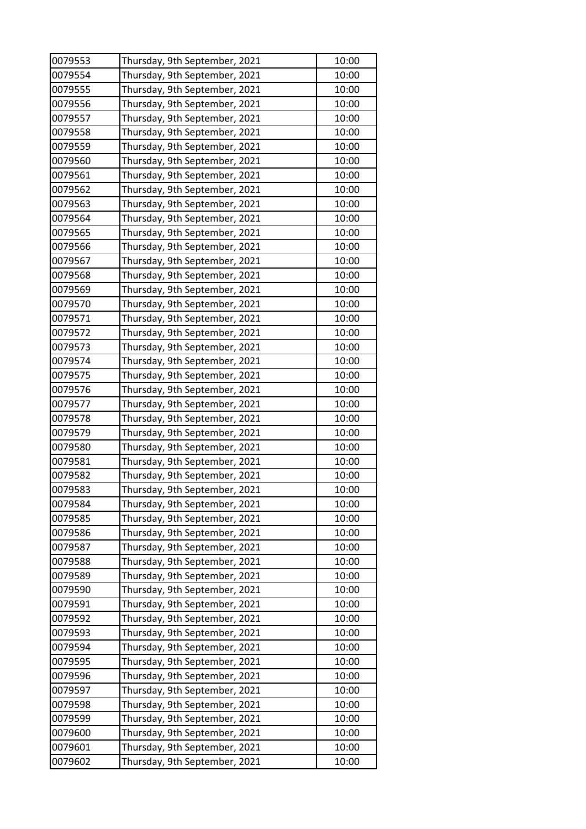| 0079553 | Thursday, 9th September, 2021 | 10:00          |
|---------|-------------------------------|----------------|
| 0079554 | Thursday, 9th September, 2021 | 10:00          |
| 0079555 | Thursday, 9th September, 2021 | 10:00          |
| 0079556 | Thursday, 9th September, 2021 | 10:00          |
| 0079557 | Thursday, 9th September, 2021 | 10:00          |
| 0079558 | Thursday, 9th September, 2021 | 10:00          |
| 0079559 | Thursday, 9th September, 2021 | 10:00          |
| 0079560 | Thursday, 9th September, 2021 | 10:00          |
| 0079561 | Thursday, 9th September, 2021 | 10:00          |
| 0079562 | Thursday, 9th September, 2021 | 10:00          |
| 0079563 | Thursday, 9th September, 2021 | 10:00          |
| 0079564 | Thursday, 9th September, 2021 | 10:00          |
| 0079565 | Thursday, 9th September, 2021 | 10:00          |
| 0079566 | Thursday, 9th September, 2021 | 10:00          |
| 0079567 | Thursday, 9th September, 2021 | 10:00          |
| 0079568 | Thursday, 9th September, 2021 | 10:00          |
| 0079569 | Thursday, 9th September, 2021 | 10:00          |
| 0079570 | Thursday, 9th September, 2021 | 10:00          |
| 0079571 | Thursday, 9th September, 2021 | 10:00          |
| 0079572 | Thursday, 9th September, 2021 | 10:00          |
| 0079573 | Thursday, 9th September, 2021 | 10:00          |
| 0079574 | Thursday, 9th September, 2021 | 10:00          |
| 0079575 | Thursday, 9th September, 2021 | 10:00          |
| 0079576 | Thursday, 9th September, 2021 | 10:00          |
| 0079577 | Thursday, 9th September, 2021 | 10:00          |
| 0079578 | Thursday, 9th September, 2021 | 10:00          |
| 0079579 | Thursday, 9th September, 2021 | 10:00          |
| 0079580 | Thursday, 9th September, 2021 | 10:00          |
| 0079581 | Thursday, 9th September, 2021 | 10:00          |
| 0079582 | Thursday, 9th September, 2021 | 10:00          |
| 0079583 | Thursday, 9th September, 2021 | 10:00          |
| 0079584 | Thursday, 9th September, 2021 | 10:00          |
| 0079585 | Thursday, 9th September, 2021 | 10:00          |
| 0079586 | Thursday, 9th September, 2021 | 10:00          |
| 0079587 | Thursday, 9th September, 2021 | 10:00          |
| 0079588 | Thursday, 9th September, 2021 | 10:00          |
| 0079589 | Thursday, 9th September, 2021 | 10:00          |
| 0079590 | Thursday, 9th September, 2021 | 10:00          |
| 0079591 | Thursday, 9th September, 2021 | 10:00          |
| 0079592 | Thursday, 9th September, 2021 | 10:00          |
| 0079593 | Thursday, 9th September, 2021 | 10:00          |
| 0079594 | Thursday, 9th September, 2021 | 10:00          |
| 0079595 | Thursday, 9th September, 2021 | 10:00          |
| 0079596 | Thursday, 9th September, 2021 | 10:00          |
| 0079597 | Thursday, 9th September, 2021 | 10:00          |
| 0079598 | Thursday, 9th September, 2021 | 10:00          |
| 0079599 | Thursday, 9th September, 2021 | 10:00          |
| 0079600 |                               |                |
| 0079601 | Thursday, 9th September, 2021 | 10:00<br>10:00 |
|         | Thursday, 9th September, 2021 |                |
| 0079602 | Thursday, 9th September, 2021 | 10:00          |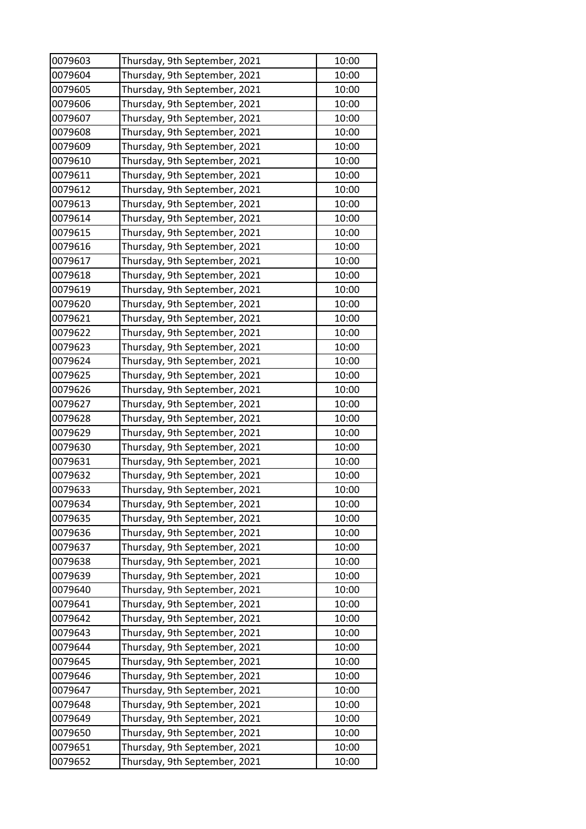| 0079603 | Thursday, 9th September, 2021 | 10:00          |
|---------|-------------------------------|----------------|
| 0079604 | Thursday, 9th September, 2021 | 10:00          |
| 0079605 | Thursday, 9th September, 2021 | 10:00          |
| 0079606 | Thursday, 9th September, 2021 | 10:00          |
| 0079607 | Thursday, 9th September, 2021 | 10:00          |
| 0079608 | Thursday, 9th September, 2021 | 10:00          |
| 0079609 | Thursday, 9th September, 2021 | 10:00          |
| 0079610 | Thursday, 9th September, 2021 | 10:00          |
| 0079611 | Thursday, 9th September, 2021 | 10:00          |
| 0079612 | Thursday, 9th September, 2021 | 10:00          |
| 0079613 | Thursday, 9th September, 2021 | 10:00          |
| 0079614 | Thursday, 9th September, 2021 | 10:00          |
| 0079615 | Thursday, 9th September, 2021 | 10:00          |
| 0079616 | Thursday, 9th September, 2021 | 10:00          |
| 0079617 | Thursday, 9th September, 2021 | 10:00          |
| 0079618 | Thursday, 9th September, 2021 | 10:00          |
| 0079619 | Thursday, 9th September, 2021 | 10:00          |
| 0079620 | Thursday, 9th September, 2021 | 10:00          |
| 0079621 | Thursday, 9th September, 2021 | 10:00          |
| 0079622 | Thursday, 9th September, 2021 | 10:00          |
| 0079623 | Thursday, 9th September, 2021 | 10:00          |
| 0079624 | Thursday, 9th September, 2021 | 10:00          |
| 0079625 | Thursday, 9th September, 2021 | 10:00          |
| 0079626 | Thursday, 9th September, 2021 | 10:00          |
| 0079627 | Thursday, 9th September, 2021 | 10:00          |
| 0079628 | Thursday, 9th September, 2021 | 10:00          |
| 0079629 | Thursday, 9th September, 2021 | 10:00          |
| 0079630 | Thursday, 9th September, 2021 | 10:00          |
| 0079631 | Thursday, 9th September, 2021 | 10:00          |
| 0079632 | Thursday, 9th September, 2021 | 10:00          |
| 0079633 | Thursday, 9th September, 2021 | 10:00          |
| 0079634 | Thursday, 9th September, 2021 | 10:00          |
| 0079635 | Thursday, 9th September, 2021 | 10:00          |
| 0079636 | Thursday, 9th September, 2021 | 10:00          |
| 0079637 | Thursday, 9th September, 2021 | 10:00          |
| 0079638 | Thursday, 9th September, 2021 | 10:00          |
| 0079639 | Thursday, 9th September, 2021 | 10:00          |
| 0079640 | Thursday, 9th September, 2021 | 10:00          |
| 0079641 | Thursday, 9th September, 2021 | 10:00          |
| 0079642 | Thursday, 9th September, 2021 | 10:00          |
| 0079643 | Thursday, 9th September, 2021 | 10:00          |
| 0079644 | Thursday, 9th September, 2021 | 10:00          |
| 0079645 | Thursday, 9th September, 2021 | 10:00          |
| 0079646 | Thursday, 9th September, 2021 | 10:00          |
| 0079647 | Thursday, 9th September, 2021 | 10:00          |
| 0079648 | Thursday, 9th September, 2021 | 10:00          |
| 0079649 | Thursday, 9th September, 2021 | 10:00          |
| 0079650 |                               |                |
| 0079651 | Thursday, 9th September, 2021 | 10:00<br>10:00 |
|         | Thursday, 9th September, 2021 |                |
| 0079652 | Thursday, 9th September, 2021 | 10:00          |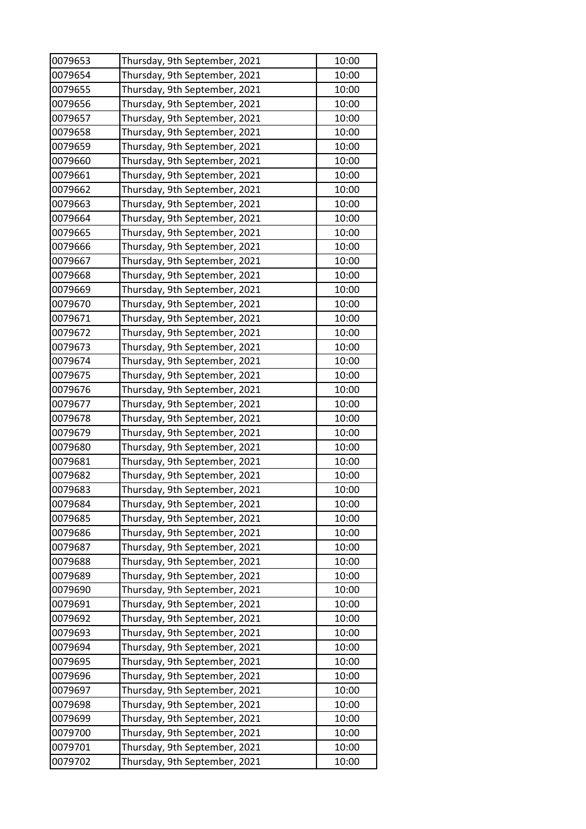| 0079653 | Thursday, 9th September, 2021 | 10:00 |
|---------|-------------------------------|-------|
| 0079654 | Thursday, 9th September, 2021 | 10:00 |
| 0079655 | Thursday, 9th September, 2021 | 10:00 |
| 0079656 | Thursday, 9th September, 2021 | 10:00 |
| 0079657 | Thursday, 9th September, 2021 | 10:00 |
| 0079658 | Thursday, 9th September, 2021 | 10:00 |
| 0079659 | Thursday, 9th September, 2021 | 10:00 |
| 0079660 | Thursday, 9th September, 2021 | 10:00 |
| 0079661 | Thursday, 9th September, 2021 | 10:00 |
| 0079662 | Thursday, 9th September, 2021 | 10:00 |
| 0079663 | Thursday, 9th September, 2021 | 10:00 |
| 0079664 | Thursday, 9th September, 2021 | 10:00 |
| 0079665 | Thursday, 9th September, 2021 | 10:00 |
| 0079666 | Thursday, 9th September, 2021 | 10:00 |
| 0079667 | Thursday, 9th September, 2021 | 10:00 |
| 0079668 | Thursday, 9th September, 2021 | 10:00 |
| 0079669 | Thursday, 9th September, 2021 | 10:00 |
| 0079670 | Thursday, 9th September, 2021 | 10:00 |
| 0079671 | Thursday, 9th September, 2021 | 10:00 |
| 0079672 | Thursday, 9th September, 2021 | 10:00 |
| 0079673 | Thursday, 9th September, 2021 | 10:00 |
| 0079674 | Thursday, 9th September, 2021 | 10:00 |
| 0079675 | Thursday, 9th September, 2021 | 10:00 |
| 0079676 | Thursday, 9th September, 2021 | 10:00 |
| 0079677 | Thursday, 9th September, 2021 | 10:00 |
| 0079678 | Thursday, 9th September, 2021 | 10:00 |
| 0079679 | Thursday, 9th September, 2021 | 10:00 |
| 0079680 | Thursday, 9th September, 2021 | 10:00 |
| 0079681 | Thursday, 9th September, 2021 | 10:00 |
| 0079682 | Thursday, 9th September, 2021 | 10:00 |
| 0079683 | Thursday, 9th September, 2021 | 10:00 |
| 0079684 | Thursday, 9th September, 2021 | 10:00 |
| 0079685 | Thursday, 9th September, 2021 | 10:00 |
| 0079686 | Thursday, 9th September, 2021 | 10:00 |
| 0079687 | Thursday, 9th September, 2021 | 10:00 |
| 0079688 | Thursday, 9th September, 2021 | 10:00 |
| 0079689 | Thursday, 9th September, 2021 | 10:00 |
| 0079690 | Thursday, 9th September, 2021 | 10:00 |
| 0079691 | Thursday, 9th September, 2021 | 10:00 |
| 0079692 | Thursday, 9th September, 2021 | 10:00 |
| 0079693 | Thursday, 9th September, 2021 | 10:00 |
| 0079694 | Thursday, 9th September, 2021 | 10:00 |
| 0079695 | Thursday, 9th September, 2021 | 10:00 |
| 0079696 | Thursday, 9th September, 2021 | 10:00 |
| 0079697 | Thursday, 9th September, 2021 | 10:00 |
| 0079698 | Thursday, 9th September, 2021 | 10:00 |
| 0079699 | Thursday, 9th September, 2021 | 10:00 |
| 0079700 | Thursday, 9th September, 2021 | 10:00 |
| 0079701 | Thursday, 9th September, 2021 | 10:00 |
| 0079702 | Thursday, 9th September, 2021 | 10:00 |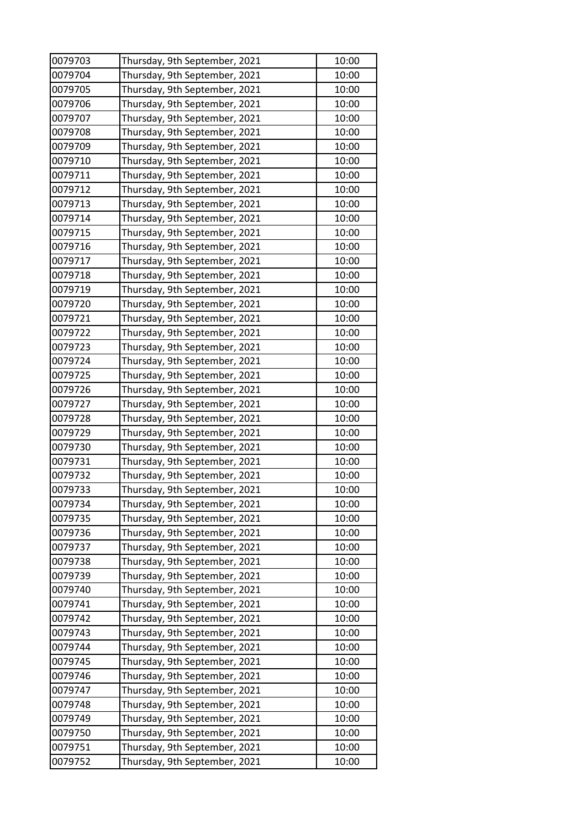| 0079703 | Thursday, 9th September, 2021 | 10:00 |
|---------|-------------------------------|-------|
| 0079704 | Thursday, 9th September, 2021 | 10:00 |
| 0079705 | Thursday, 9th September, 2021 | 10:00 |
| 0079706 | Thursday, 9th September, 2021 | 10:00 |
| 0079707 | Thursday, 9th September, 2021 | 10:00 |
| 0079708 | Thursday, 9th September, 2021 | 10:00 |
| 0079709 | Thursday, 9th September, 2021 | 10:00 |
| 0079710 | Thursday, 9th September, 2021 | 10:00 |
| 0079711 | Thursday, 9th September, 2021 | 10:00 |
| 0079712 | Thursday, 9th September, 2021 | 10:00 |
| 0079713 | Thursday, 9th September, 2021 | 10:00 |
| 0079714 | Thursday, 9th September, 2021 | 10:00 |
| 0079715 | Thursday, 9th September, 2021 | 10:00 |
| 0079716 | Thursday, 9th September, 2021 | 10:00 |
| 0079717 | Thursday, 9th September, 2021 | 10:00 |
| 0079718 | Thursday, 9th September, 2021 | 10:00 |
| 0079719 | Thursday, 9th September, 2021 | 10:00 |
| 0079720 | Thursday, 9th September, 2021 | 10:00 |
| 0079721 | Thursday, 9th September, 2021 | 10:00 |
| 0079722 | Thursday, 9th September, 2021 | 10:00 |
| 0079723 | Thursday, 9th September, 2021 | 10:00 |
| 0079724 | Thursday, 9th September, 2021 | 10:00 |
| 0079725 | Thursday, 9th September, 2021 | 10:00 |
| 0079726 | Thursday, 9th September, 2021 | 10:00 |
| 0079727 | Thursday, 9th September, 2021 | 10:00 |
| 0079728 | Thursday, 9th September, 2021 | 10:00 |
| 0079729 | Thursday, 9th September, 2021 | 10:00 |
| 0079730 | Thursday, 9th September, 2021 | 10:00 |
| 0079731 | Thursday, 9th September, 2021 | 10:00 |
| 0079732 | Thursday, 9th September, 2021 | 10:00 |
| 0079733 | Thursday, 9th September, 2021 | 10:00 |
| 0079734 | Thursday, 9th September, 2021 | 10:00 |
| 0079735 | Thursday, 9th September, 2021 | 10:00 |
| 0079736 | Thursday, 9th September, 2021 | 10:00 |
| 0079737 | Thursday, 9th September, 2021 | 10:00 |
| 0079738 | Thursday, 9th September, 2021 | 10:00 |
| 0079739 | Thursday, 9th September, 2021 | 10:00 |
| 0079740 | Thursday, 9th September, 2021 | 10:00 |
| 0079741 | Thursday, 9th September, 2021 | 10:00 |
| 0079742 | Thursday, 9th September, 2021 | 10:00 |
| 0079743 | Thursday, 9th September, 2021 | 10:00 |
| 0079744 | Thursday, 9th September, 2021 | 10:00 |
| 0079745 | Thursday, 9th September, 2021 | 10:00 |
| 0079746 | Thursday, 9th September, 2021 | 10:00 |
| 0079747 | Thursday, 9th September, 2021 | 10:00 |
| 0079748 | Thursday, 9th September, 2021 | 10:00 |
| 0079749 | Thursday, 9th September, 2021 | 10:00 |
| 0079750 | Thursday, 9th September, 2021 | 10:00 |
| 0079751 | Thursday, 9th September, 2021 | 10:00 |
| 0079752 | Thursday, 9th September, 2021 | 10:00 |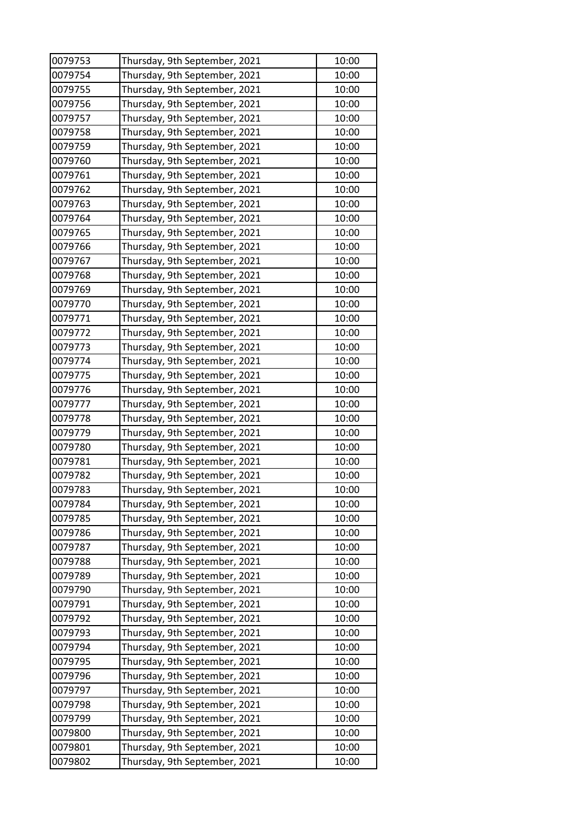| 0079753 | Thursday, 9th September, 2021 | 10:00 |
|---------|-------------------------------|-------|
| 0079754 | Thursday, 9th September, 2021 | 10:00 |
| 0079755 | Thursday, 9th September, 2021 | 10:00 |
| 0079756 | Thursday, 9th September, 2021 | 10:00 |
| 0079757 | Thursday, 9th September, 2021 | 10:00 |
| 0079758 | Thursday, 9th September, 2021 | 10:00 |
| 0079759 | Thursday, 9th September, 2021 | 10:00 |
| 0079760 | Thursday, 9th September, 2021 | 10:00 |
| 0079761 | Thursday, 9th September, 2021 | 10:00 |
| 0079762 | Thursday, 9th September, 2021 | 10:00 |
| 0079763 | Thursday, 9th September, 2021 | 10:00 |
| 0079764 | Thursday, 9th September, 2021 | 10:00 |
| 0079765 | Thursday, 9th September, 2021 | 10:00 |
| 0079766 | Thursday, 9th September, 2021 | 10:00 |
| 0079767 | Thursday, 9th September, 2021 | 10:00 |
| 0079768 | Thursday, 9th September, 2021 | 10:00 |
| 0079769 | Thursday, 9th September, 2021 | 10:00 |
| 0079770 | Thursday, 9th September, 2021 | 10:00 |
| 0079771 | Thursday, 9th September, 2021 | 10:00 |
| 0079772 | Thursday, 9th September, 2021 | 10:00 |
| 0079773 | Thursday, 9th September, 2021 | 10:00 |
| 0079774 | Thursday, 9th September, 2021 | 10:00 |
| 0079775 | Thursday, 9th September, 2021 | 10:00 |
| 0079776 | Thursday, 9th September, 2021 | 10:00 |
| 0079777 | Thursday, 9th September, 2021 | 10:00 |
| 0079778 | Thursday, 9th September, 2021 | 10:00 |
| 0079779 | Thursday, 9th September, 2021 | 10:00 |
| 0079780 | Thursday, 9th September, 2021 | 10:00 |
| 0079781 | Thursday, 9th September, 2021 | 10:00 |
| 0079782 | Thursday, 9th September, 2021 | 10:00 |
| 0079783 | Thursday, 9th September, 2021 | 10:00 |
| 0079784 | Thursday, 9th September, 2021 | 10:00 |
| 0079785 | Thursday, 9th September, 2021 | 10:00 |
| 0079786 | Thursday, 9th September, 2021 | 10:00 |
| 0079787 | Thursday, 9th September, 2021 | 10:00 |
| 0079788 | Thursday, 9th September, 2021 | 10:00 |
| 0079789 | Thursday, 9th September, 2021 | 10:00 |
| 0079790 | Thursday, 9th September, 2021 | 10:00 |
| 0079791 | Thursday, 9th September, 2021 | 10:00 |
| 0079792 | Thursday, 9th September, 2021 | 10:00 |
| 0079793 | Thursday, 9th September, 2021 | 10:00 |
| 0079794 | Thursday, 9th September, 2021 | 10:00 |
| 0079795 | Thursday, 9th September, 2021 | 10:00 |
| 0079796 | Thursday, 9th September, 2021 | 10:00 |
| 0079797 | Thursday, 9th September, 2021 | 10:00 |
| 0079798 | Thursday, 9th September, 2021 | 10:00 |
| 0079799 | Thursday, 9th September, 2021 | 10:00 |
| 0079800 | Thursday, 9th September, 2021 | 10:00 |
| 0079801 | Thursday, 9th September, 2021 | 10:00 |
| 0079802 | Thursday, 9th September, 2021 | 10:00 |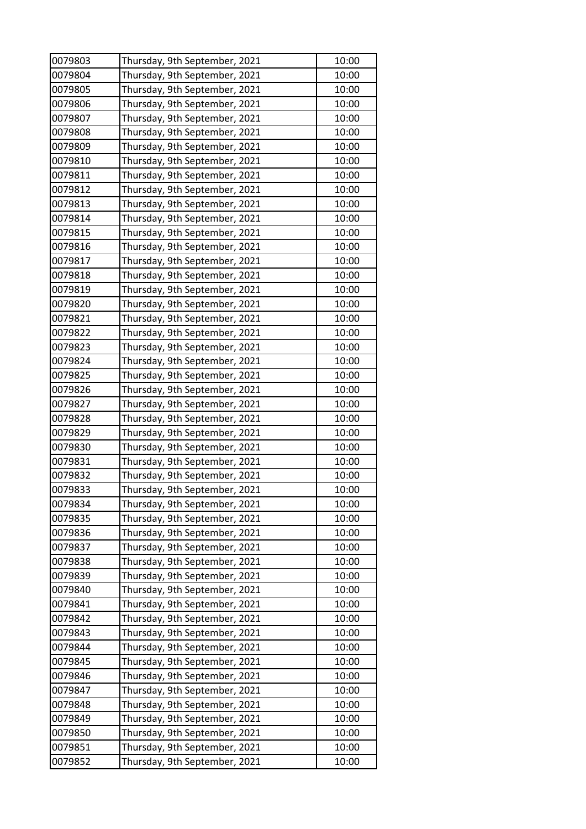| 0079803 | Thursday, 9th September, 2021 | 10:00          |
|---------|-------------------------------|----------------|
| 0079804 | Thursday, 9th September, 2021 | 10:00          |
| 0079805 | Thursday, 9th September, 2021 | 10:00          |
| 0079806 | Thursday, 9th September, 2021 | 10:00          |
| 0079807 | Thursday, 9th September, 2021 | 10:00          |
| 0079808 | Thursday, 9th September, 2021 | 10:00          |
| 0079809 | Thursday, 9th September, 2021 | 10:00          |
| 0079810 | Thursday, 9th September, 2021 | 10:00          |
| 0079811 | Thursday, 9th September, 2021 | 10:00          |
| 0079812 | Thursday, 9th September, 2021 | 10:00          |
| 0079813 | Thursday, 9th September, 2021 | 10:00          |
| 0079814 | Thursday, 9th September, 2021 | 10:00          |
| 0079815 | Thursday, 9th September, 2021 | 10:00          |
| 0079816 | Thursday, 9th September, 2021 | 10:00          |
| 0079817 | Thursday, 9th September, 2021 | 10:00          |
| 0079818 | Thursday, 9th September, 2021 | 10:00          |
| 0079819 | Thursday, 9th September, 2021 | 10:00          |
| 0079820 | Thursday, 9th September, 2021 | 10:00          |
| 0079821 | Thursday, 9th September, 2021 | 10:00          |
| 0079822 | Thursday, 9th September, 2021 | 10:00          |
| 0079823 | Thursday, 9th September, 2021 | 10:00          |
| 0079824 | Thursday, 9th September, 2021 | 10:00          |
| 0079825 | Thursday, 9th September, 2021 | 10:00          |
| 0079826 | Thursday, 9th September, 2021 | 10:00          |
| 0079827 | Thursday, 9th September, 2021 | 10:00          |
| 0079828 | Thursday, 9th September, 2021 | 10:00          |
| 0079829 | Thursday, 9th September, 2021 | 10:00          |
| 0079830 | Thursday, 9th September, 2021 | 10:00          |
| 0079831 | Thursday, 9th September, 2021 | 10:00          |
| 0079832 | Thursday, 9th September, 2021 | 10:00          |
| 0079833 | Thursday, 9th September, 2021 | 10:00          |
| 0079834 | Thursday, 9th September, 2021 | 10:00          |
| 0079835 | Thursday, 9th September, 2021 | 10:00          |
| 0079836 | Thursday, 9th September, 2021 | 10:00          |
| 0079837 | Thursday, 9th September, 2021 | 10:00          |
| 0079838 | Thursday, 9th September, 2021 | 10:00          |
| 0079839 | Thursday, 9th September, 2021 | 10:00          |
| 0079840 | Thursday, 9th September, 2021 | 10:00          |
| 0079841 | Thursday, 9th September, 2021 | 10:00          |
| 0079842 | Thursday, 9th September, 2021 | 10:00          |
| 0079843 | Thursday, 9th September, 2021 | 10:00          |
| 0079844 | Thursday, 9th September, 2021 | 10:00          |
| 0079845 | Thursday, 9th September, 2021 | 10:00          |
| 0079846 | Thursday, 9th September, 2021 | 10:00          |
| 0079847 | Thursday, 9th September, 2021 | 10:00          |
| 0079848 | Thursday, 9th September, 2021 | 10:00          |
| 0079849 | Thursday, 9th September, 2021 | 10:00          |
| 0079850 |                               |                |
| 0079851 | Thursday, 9th September, 2021 | 10:00<br>10:00 |
|         | Thursday, 9th September, 2021 |                |
| 0079852 | Thursday, 9th September, 2021 | 10:00          |